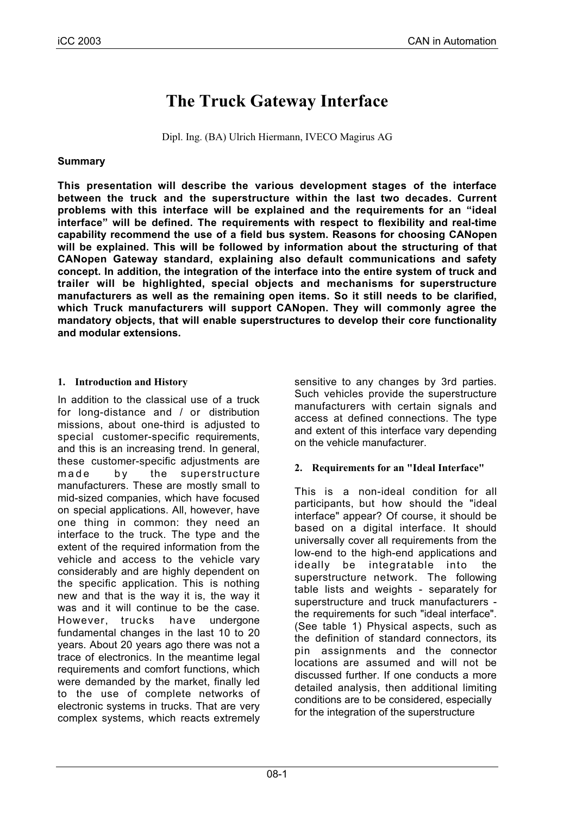# **The Truck Gateway Interface**

Dipl. Ing. (BA) Ulrich Hiermann, IVECO Magirus AG

#### **Summary**

**This presentation will describe the various development stages of the interface between the truck and the superstructure within the last two decades. Current problems with this interface will be explained and the requirements for an "ideal interface" will be defined. The requirements with respect to flexibility and real-time capability recommend the use of a field bus system. Reasons for choosing CANopen will be explained. This will be followed by information about the structuring of that CANopen Gateway standard, explaining also default communications and safety concept. In addition, the integration of the interface into the entire system of truck and trailer will be highlighted, special objects and mechanisms for superstructure manufacturers as well as the remaining open items. So it still needs to be clarified, which Truck manufacturers will support CANopen. They will commonly agree the mandatory objects, that will enable superstructures to develop their core functionality and modular extensions.**

#### **1. Introduction and History**

In addition to the classical use of a truck for long-distance and / or distribution missions, about one-third is adjusted to special customer-specific requirements, and this is an increasing trend. In general, these customer-specific adjustments are made by the superstructure manufacturers. These are mostly small to mid-sized companies, which have focused on special applications. All, however, have one thing in common: they need an interface to the truck. The type and the extent of the required information from the vehicle and access to the vehicle vary considerably and are highly dependent on the specific application. This is nothing new and that is the way it is, the way it was and it will continue to be the case. However, trucks have undergone fundamental changes in the last 10 to 20 years. About 20 years ago there was not a trace of electronics. In the meantime legal requirements and comfort functions, which were demanded by the market, finally led to the use of complete networks of electronic systems in trucks. That are very complex systems, which reacts extremely

sensitive to any changes by 3rd parties. Such vehicles provide the superstructure manufacturers with certain signals and access at defined connections. The type and extent of this interface vary depending on the vehicle manufacturer.

## **2. Requirements for an "Ideal Interface"**

This is a non-ideal condition for all participants, but how should the "ideal interface" appear? Of course, it should be based on a digital interface. It should universally cover all requirements from the low-end to the high-end applications and ideally be integratable into the superstructure network. The following table lists and weights - separately for superstructure and truck manufacturers the requirements for such "ideal interface". (See table 1) Physical aspects, such as the definition of standard connectors, its pin assignments and the connector locations are assumed and will not be discussed further. If one conducts a more detailed analysis, then additional limiting conditions are to be considered, especially for the integration of the superstructure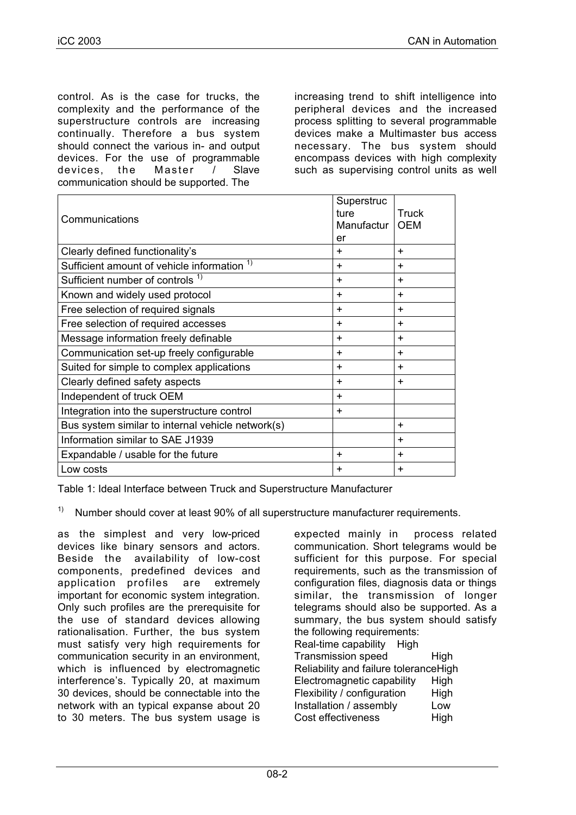control. As is the case for trucks, the complexity and the performance of the superstructure controls are increasing continually. Therefore a bus system should connect the various in- and output devices. For the use of programmable devices, the Master / Slave communication should be supported. The

increasing trend to shift intelligence into peripheral devices and the increased process splitting to several programmable devices make a Multimaster bus access necessary. The bus system should encompass devices with high complexity such as supervising control units as well

| Communications                                         | Superstruc<br>ture<br>Manufactur<br>er | Truck<br><b>OEM</b> |
|--------------------------------------------------------|----------------------------------------|---------------------|
| Clearly defined functionality's                        | $\pm$                                  | $\div$              |
| Sufficient amount of vehicle information <sup>1)</sup> | $\pm$                                  | ٠                   |
| Sufficient number of controls <sup>1)</sup>            | $\ddot{}$                              | ٠                   |
| Known and widely used protocol                         | $\ddot{}$                              | $\div$              |
| Free selection of required signals                     | $\ddot{}$                              | $\ddot{}$           |
| Free selection of required accesses                    | $\ddot{}$                              | $\div$              |
| Message information freely definable                   | $\ddot{}$                              | $\div$              |
| Communication set-up freely configurable               | $\pm$                                  | $\div$              |
| Suited for simple to complex applications              | $\ddot{}$                              | $\div$              |
| Clearly defined safety aspects                         | $\ddot{}$                              | ٠                   |
| Independent of truck OEM                               | $\pm$                                  |                     |
| Integration into the superstructure control            | $\pm$                                  |                     |
| Bus system similar to internal vehicle network(s)      |                                        | ٠                   |
| Information similar to SAE J1939                       |                                        | $\div$              |
| Expandable / usable for the future                     | $\div$                                 | $\div$              |
| Low costs                                              | ÷                                      | $\div$              |

Table 1: Ideal Interface between Truck and Superstructure Manufacturer

<sup>1)</sup> Number should cover at least 90% of all superstructure manufacturer requirements.

as the simplest and very low-priced devices like binary sensors and actors. Beside the availability of low-cost components, predefined devices and application profiles are extremely important for economic system integration. Only such profiles are the prerequisite for the use of standard devices allowing rationalisation. Further, the bus system must satisfy very high requirements for communication security in an environment, which is influenced by electromagnetic interference's. Typically 20, at maximum 30 devices, should be connectable into the network with an typical expanse about 20 to 30 meters. The bus system usage is

expected mainly in process related communication. Short telegrams would be sufficient for this purpose. For special requirements, such as the transmission of configuration files, diagnosis data or things similar, the transmission of longer telegrams should also be supported. As a summary, the bus system should satisfy the following requirements: Real-time capability High Transmission speed High Reliability and failure toleranceHigh Electromagnetic capability High Flexibility / configuration High Installation / assembly Low Cost effectiveness High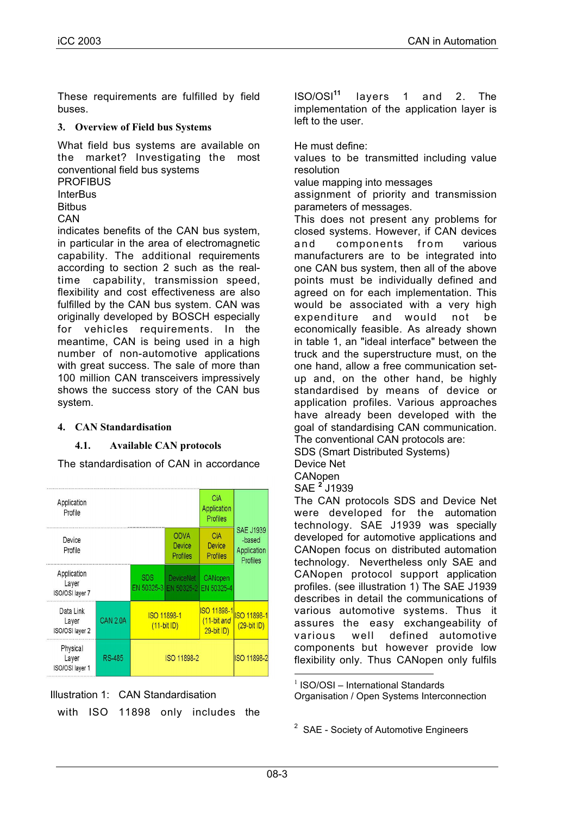These requirements are fulfilled by field buses.

#### **3. Overview of Field bus Systems**

What field bus systems are available on the market? Investigating the most conventional field bus systems

**PROFIBUS InterBus** 

**Bitbus** 

**CAN** 

indicates benefits of the CAN bus system, in particular in the area of electromagnetic capability. The additional requirements according to section 2 such as the realtime capability, transmission speed, flexibility and cost effectiveness are also fulfilled by the CAN bus system. CAN was originally developed by BOSCH especially for vehicles requirements. In the meantime, CAN is being used in a high number of non-automotive applications with great success. The sale of more than 100 million CAN transceivers impressively shows the success story of the CAN bus system.

## **4. CAN Standardisation**

## **4.1. Available CAN protocols**

The standardisation of CAN in accordance







ISO/OSI**<sup>11</sup>** layers 1 and 2. The implementation of the application layer is left to the user.

He must define:

values to be transmitted including value resolution

value mapping into messages

assignment of priority and transmission parameters of messages.

This does not present any problems for closed systems. However, if CAN devices and components from various manufacturers are to be integrated into one CAN bus system, then all of the above points must be individually defined and agreed on for each implementation. This would be associated with a very high expenditure and would not be economically feasible. As already shown in table 1, an "ideal interface" between the truck and the superstructure must, on the one hand, allow a free communication setup and, on the other hand, be highly standardised by means of device or application profiles. Various approaches have already been developed with the goal of standardising CAN communication. The conventional CAN protocols are:

SDS (Smart Distributed Systems)

Device Net

CANopen

SAE **<sup>2</sup>** J1939

The CAN protocols SDS and Device Net were developed for the automation technology. SAE J1939 was specially developed for automotive applications and CANopen focus on distributed automation technology. Nevertheless only SAE and CANopen protocol support application profiles. (see illustration 1) The SAE J1939 describes in detail the communications of various automotive systems. Thus it assures the easy exchangeability of various well defined automotive components but however provide low flexibility only. Thus CANopen only fulfils

 $1$  ISO/OSI – International Standards Organisation / Open Systems Interconnection

 $2$  SAE - Society of Automotive Engineers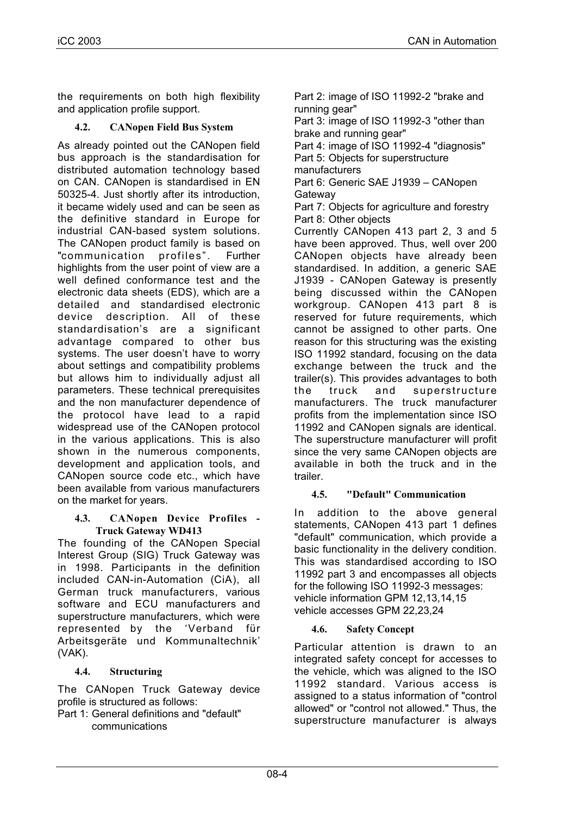the requirements on both high flexibility and application profile support.

# **4.2. CANopen Field Bus System**

As already pointed out the CANopen field bus approach is the standardisation for distributed automation technology based on CAN. CANopen is standardised in EN 50325-4. Just shortly after its introduction, it became widely used and can be seen as the definitive standard in Europe for industrial CAN-based system solutions. The CANopen product family is based on "communication profiles". Further highlights from the user point of view are a well defined conformance test and the electronic data sheets (EDS), which are a detailed and standardised electronic device description. All of these standardisation's are a significant advantage compared to other bus systems. The user doesn't have to worry about settings and compatibility problems but allows him to individually adjust all parameters. These technical prerequisites and the non manufacturer dependence of the protocol have lead to a rapid widespread use of the CANopen protocol in the various applications. This is also shown in the numerous components, development and application tools, and CANopen source code etc., which have been available from various manufacturers on the market for years.

#### **4.3. CANopen Device Profiles - Truck Gateway WD413**

The founding of the CANopen Special Interest Group (SIG) Truck Gateway was in 1998. Participants in the definition included CAN-in-Automation (CiA), all German truck manufacturers, various software and ECU manufacturers and superstructure manufacturers, which were represented by the 'Verband für Arbeitsgeräte und Kommunaltechnik' (VAK).

## **4.4. Structuring**

The CANopen Truck Gateway device profile is structured as follows:

Part 1: General definitions and "default" communications

Part 2: image of ISO 11992-2 "brake and running gear"

Part 3: image of ISO 11992-3 "other than brake and running gear"

Part 4: image of ISO 11992-4 "diagnosis" Part 5: Objects for superstructure

manufacturers Part 6: Generic SAE J1939 – CANopen **Gateway** 

Part 7: Objects for agriculture and forestry Part 8: Other objects

Currently CANopen 413 part 2, 3 and 5 have been approved. Thus, well over 200 CANopen objects have already been standardised. In addition, a generic SAE J1939 - CANopen Gateway is presently being discussed within the CANopen workgroup. CANopen 413 part 8 is reserved for future requirements, which cannot be assigned to other parts. One reason for this structuring was the existing ISO 11992 standard, focusing on the data exchange between the truck and the trailer(s). This provides advantages to both the truck and superstructure manufacturers. The truck manufacturer profits from the implementation since ISO 11992 and CANopen signals are identical. The superstructure manufacturer will profit since the very same CANopen objects are available in both the truck and in the trailer.

## **4.5. "Default" Communication**

In addition to the above general statements, CANopen 413 part 1 defines "default" communication, which provide a basic functionality in the delivery condition. This was standardised according to ISO 11992 part 3 and encompasses all objects for the following ISO 11992-3 messages: vehicle information GPM 12,13,14,15 vehicle accesses GPM 22,23,24

## **4.6. Safety Concept**

Particular attention is drawn to an integrated safety concept for accesses to the vehicle, which was aligned to the ISO 11992 standard. Various access is assigned to a status information of "control allowed" or "control not allowed." Thus, the superstructure manufacturer is always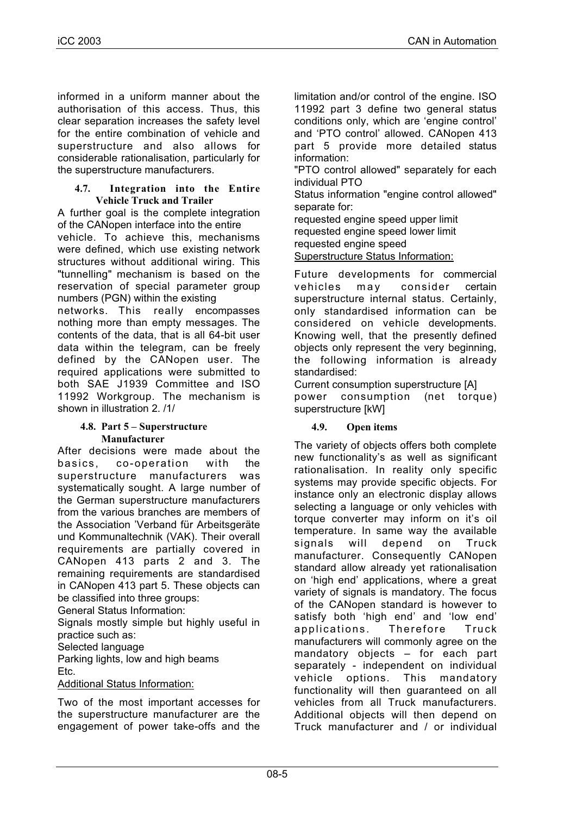informed in a uniform manner about the authorisation of this access. Thus, this clear separation increases the safety level for the entire combination of vehicle and superstructure and also allows for considerable rationalisation, particularly for the superstructure manufacturers.

#### **4.7. Integration into the Entire Vehicle Truck and Trailer**

A further goal is the complete integration of the CANopen interface into the entire vehicle. To achieve this, mechanisms were defined, which use existing network structures without additional wiring. This "tunnelling" mechanism is based on the reservation of special parameter group numbers (PGN) within the existing

networks. This really encompasses nothing more than empty messages. The contents of the data, that is all 64-bit user data within the telegram, can be freely defined by the CANopen user. The required applications were submitted to both SAE J1939 Committee and ISO 11992 Workgroup. The mechanism is shown in illustration 2. /1/

#### **4.8. Part 5 – Superstructure Manufacturer**

After decisions were made about the basics, co-operation with the superstructure manufacturers was systematically sought. A large number of the German superstructure manufacturers from the various branches are members of the Association 'Verband für Arbeitsgeräte und Kommunaltechnik (VAK). Their overall requirements are partially covered in CANopen 413 parts 2 and 3. The remaining requirements are standardised in CANopen 413 part 5. These objects can be classified into three groups:

General Status Information:

Signals mostly simple but highly useful in practice such as:

Selected language

Parking lights, low and high beams Etc.

#### Additional Status Information:

Two of the most important accesses for the superstructure manufacturer are the engagement of power take-offs and the limitation and/or control of the engine. ISO 11992 part 3 define two general status conditions only, which are 'engine control' and 'PTO control' allowed. CANopen 413 part 5 provide more detailed status information:

"PTO control allowed" separately for each individual PTO

Status information "engine control allowed" separate for:

requested engine speed upper limit requested engine speed lower limit requested engine speed Superstructure Status Information:

Future developments for commercial vehicles may consider certain superstructure internal status. Certainly, only standardised information can be considered on vehicle developments. Knowing well, that the presently defined objects only represent the very beginning, the following information is already standardised:

Current consumption superstructure [A] power consumption (net torque) superstructure [kW]

## **4.9. Open items**

The variety of objects offers both complete new functionality's as well as significant rationalisation. In reality only specific systems may provide specific objects. For instance only an electronic display allows selecting a language or only vehicles with torque converter may inform on it's oil temperature. In same way the available signals will depend on Truck manufacturer. Consequently CANopen standard allow already yet rationalisation on 'high end' applications, where a great variety of signals is mandatory. The focus of the CANopen standard is however to satisfy both 'high end' and 'low end' applications. Therefore Truck manufacturers will commonly agree on the mandatory objects – for each part separately - independent on individual vehicle options. This mandatory functionality will then guaranteed on all vehicles from all Truck manufacturers. Additional objects will then depend on Truck manufacturer and / or individual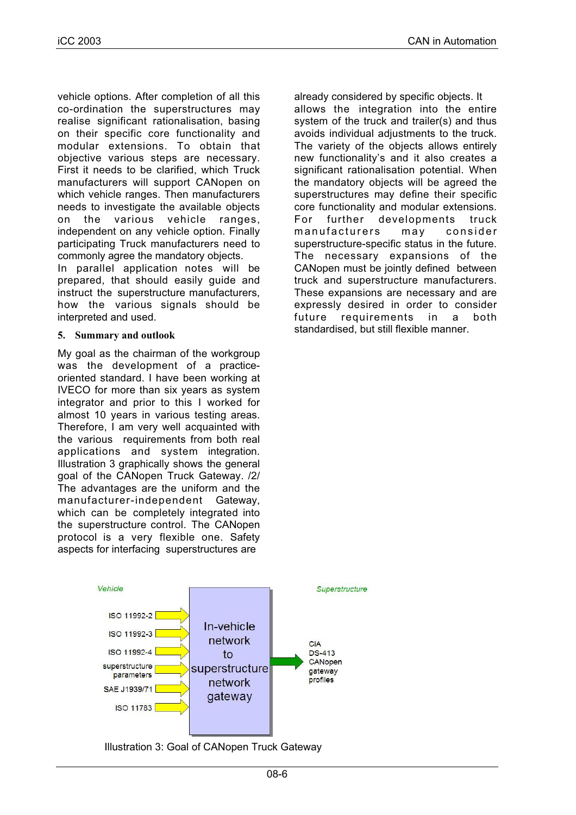vehicle options. After completion of all this co-ordination the superstructures may realise significant rationalisation, basing on their specific core functionality and modular extensions. To obtain that objective various steps are necessary. First it needs to be clarified, which Truck manufacturers will support CANopen on which vehicle ranges. Then manufacturers needs to investigate the available objects on the various vehicle ranges, independent on any vehicle option. Finally participating Truck manufacturers need to commonly agree the mandatory objects.

In parallel application notes will be prepared, that should easily guide and instruct the superstructure manufacturers, how the various signals should be interpreted and used.

#### **5. Summary and outlook**

My goal as the chairman of the workgroup was the development of a practiceoriented standard. I have been working at IVECO for more than six years as system integrator and prior to this I worked for almost 10 years in various testing areas. Therefore, I am very well acquainted with the various requirements from both real applications and system integration. Illustration 3 graphically shows the general goal of the CANopen Truck Gateway. /2/ The advantages are the uniform and the manufacturer-independent Gateway, which can be completely integrated into the superstructure control. The CANopen protocol is a very flexible one. Safety aspects for interfacing superstructures are





already considered by specific objects. It allows the integration into the entire system of the truck and trailer(s) and thus avoids individual adjustments to the truck. The variety of the objects allows entirely new functionality's and it also creates a significant rationalisation potential. When the mandatory objects will be agreed the superstructures may define their specific core functionality and modular extensions. For further developments truck manufacturers may consider superstructure-specific status in the future. The necessary expansions of the CANopen must be jointly defined between truck and superstructure manufacturers. These expansions are necessary and are expressly desired in order to consider future requirements in a both standardised, but still flexible manner.